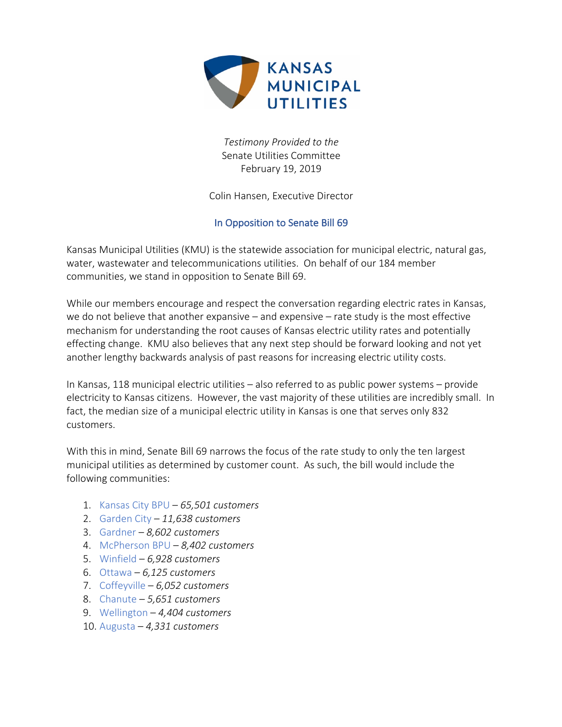

*Testimony Provided to the* Senate Utilities Committee February 19, 2019

Colin Hansen, Executive Director

# In Opposition to Senate Bill 69

Kansas Municipal Utilities (KMU) is the statewide association for municipal electric, natural gas, water, wastewater and telecommunications utilities. On behalf of our 184 member communities, we stand in opposition to Senate Bill 69.

While our members encourage and respect the conversation regarding electric rates in Kansas, we do not believe that another expansive – and expensive – rate study is the most effective mechanism for understanding the root causes of Kansas electric utility rates and potentially effecting change. KMU also believes that any next step should be forward looking and not yet another lengthy backwards analysis of past reasons for increasing electric utility costs.

In Kansas, 118 municipal electric utilities – also referred to as public power systems – provide electricity to Kansas citizens. However, the vast majority of these utilities are incredibly small. In fact, the median size of a municipal electric utility in Kansas is one that serves only 832 customers.

With this in mind, Senate Bill 69 narrows the focus of the rate study to only the ten largest municipal utilities as determined by customer count. As such, the bill would include the following communities:

- 1. Kansas City BPU *65,501 customers*
- 2. Garden City *11,638 customers*
- 3. Gardner *8,602 customers*
- 4. McPherson BPU *8,402 customers*
- 5. Winfield *6,928 customers*
- 6. Ottawa *6,125 customers*
- 7. Coffeyville *6,052 customers*
- 8. Chanute *5,651 customers*
- 9. Wellington *4,404 customers*
- 10. Augusta *4,331 customers*